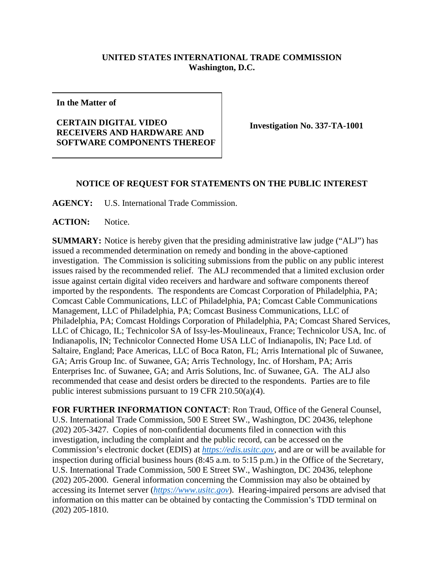## **UNITED STATES INTERNATIONAL TRADE COMMISSION Washington, D.C.**

**In the Matter of**

## **CERTAIN DIGITAL VIDEO RECEIVERS AND HARDWARE AND SOFTWARE COMPONENTS THEREOF**

**Investigation No. 337-TA-1001**

## **NOTICE OF REQUEST FOR STATEMENTS ON THE PUBLIC INTEREST**

**AGENCY:** U.S. International Trade Commission.

**ACTION:** Notice.

**SUMMARY:** Notice is hereby given that the presiding administrative law judge ("ALJ") has issued a recommended determination on remedy and bonding in the above-captioned investigation. The Commission is soliciting submissions from the public on any public interest issues raised by the recommended relief. The ALJ recommended that a limited exclusion order issue against certain digital video receivers and hardware and software components thereof imported by the respondents. The respondents are Comcast Corporation of Philadelphia, PA; Comcast Cable Communications, LLC of Philadelphia, PA; Comcast Cable Communications Management, LLC of Philadelphia, PA; Comcast Business Communications, LLC of Philadelphia, PA; Comcast Holdings Corporation of Philadelphia, PA; Comcast Shared Services, LLC of Chicago, IL; Technicolor SA of Issy-les-Moulineaux, France; Technicolor USA, Inc. of Indianapolis, IN; Technicolor Connected Home USA LLC of Indianapolis, IN; Pace Ltd. of Saltaire, England; Pace Americas, LLC of Boca Raton, FL; Arris International plc of Suwanee, GA; Arris Group Inc. of Suwanee, GA; Arris Technology, Inc. of Horsham, PA; Arris Enterprises Inc. of Suwanee, GA; and Arris Solutions, Inc. of Suwanee, GA. The ALJ also recommended that cease and desist orders be directed to the respondents. Parties are to file public interest submissions pursuant to 19 CFR 210.50(a)(4).

**FOR FURTHER INFORMATION CONTACT**: Ron Traud, Office of the General Counsel, U.S. International Trade Commission, 500 E Street SW., Washington, DC 20436, telephone (202) 205-3427. Copies of non-confidential documents filed in connection with this investigation, including the complaint and the public record, can be accessed on the Commission's electronic docket (EDIS) at *[https://edis.usitc.gov](https://edis.usitc.gov/)*, and are or will be available for inspection during official business hours (8:45 a.m. to 5:15 p.m.) in the Office of the Secretary, U.S. International Trade Commission, 500 E Street SW., Washington, DC 20436, telephone (202) 205-2000. General information concerning the Commission may also be obtained by accessing its Internet server (*[https://www.usitc.gov](https://www.usitc.gov/)*). Hearing-impaired persons are advised that information on this matter can be obtained by contacting the Commission's TDD terminal on (202) 205-1810.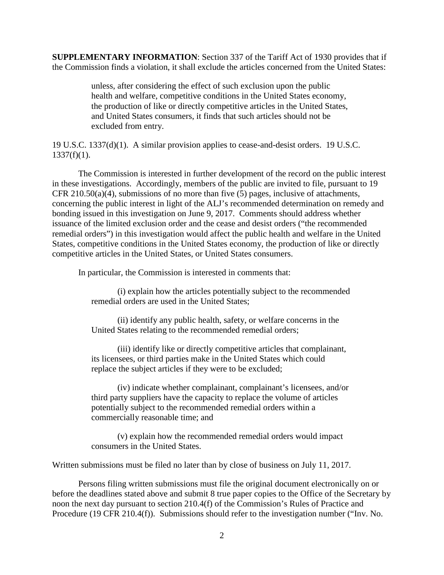**SUPPLEMENTARY INFORMATION**: Section 337 of the Tariff Act of 1930 provides that if the Commission finds a violation, it shall exclude the articles concerned from the United States:

> unless, after considering the effect of such exclusion upon the public health and welfare, competitive conditions in the United States economy, the production of like or directly competitive articles in the United States, and United States consumers, it finds that such articles should not be excluded from entry.

19 U.S.C. 1337(d)(1). A similar provision applies to cease-and-desist orders. 19 U.S.C.  $1337(f)(1)$ .

The Commission is interested in further development of the record on the public interest in these investigations. Accordingly, members of the public are invited to file, pursuant to 19 CFR 210.50(a)(4), submissions of no more than five (5) pages, inclusive of attachments, concerning the public interest in light of the ALJ's recommended determination on remedy and bonding issued in this investigation on June 9, 2017. Comments should address whether issuance of the limited exclusion order and the cease and desist orders ("the recommended remedial orders") in this investigation would affect the public health and welfare in the United States, competitive conditions in the United States economy, the production of like or directly competitive articles in the United States, or United States consumers.

In particular, the Commission is interested in comments that:

(i) explain how the articles potentially subject to the recommended remedial orders are used in the United States;

(ii) identify any public health, safety, or welfare concerns in the United States relating to the recommended remedial orders;

(iii) identify like or directly competitive articles that complainant, its licensees, or third parties make in the United States which could replace the subject articles if they were to be excluded;

(iv) indicate whether complainant, complainant's licensees, and/or third party suppliers have the capacity to replace the volume of articles potentially subject to the recommended remedial orders within a commercially reasonable time; and

(v) explain how the recommended remedial orders would impact consumers in the United States.

Written submissions must be filed no later than by close of business on July 11, 2017.

Persons filing written submissions must file the original document electronically on or before the deadlines stated above and submit 8 true paper copies to the Office of the Secretary by noon the next day pursuant to section 210.4(f) of the Commission's Rules of Practice and Procedure (19 CFR 210.4(f)). Submissions should refer to the investigation number ("Inv. No.